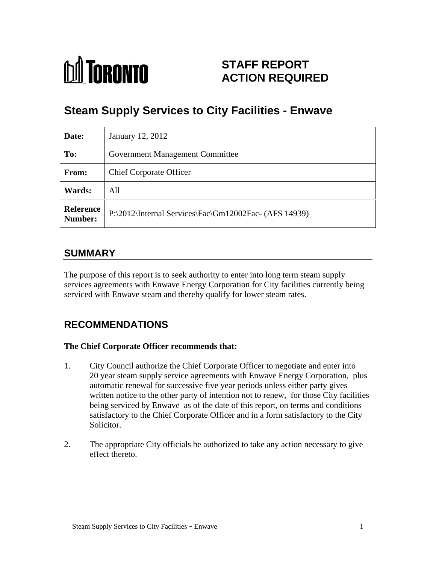

## **STAFF REPORT ACTION REQUIRED**

# **Steam Supply Services to City Facilities - Enwave**

| Date:                | January 12, 2012                                                         |
|----------------------|--------------------------------------------------------------------------|
| To:                  | <b>Government Management Committee</b>                                   |
| From:                | <b>Chief Corporate Officer</b>                                           |
| <b>Wards:</b>        | All                                                                      |
| Reference<br>Number: | $ P:\2012\text{Internal Services}$ $\frac{Gm12002\text{Fac}}{AFS 14939}$ |

### **SUMMARY**

The purpose of this report is to seek authority to enter into long term steam supply services agreements with Enwave Energy Corporation for City facilities currently being serviced with Enwave steam and thereby qualify for lower steam rates.

## **RECOMMENDATIONS**

#### **The Chief Corporate Officer recommends that:**

- 1. City Council authorize the Chief Corporate Officer to negotiate and enter into 20 year steam supply service agreements with Enwave Energy Corporation, plus automatic renewal for successive five year periods unless either party gives written notice to the other party of intention not to renew, for those City facilities being serviced by Enwave as of the date of this report, on terms and conditions satisfactory to the Chief Corporate Officer and in a form satisfactory to the City Solicitor.
- 2. The appropriate City officials be authorized to take any action necessary to give effect thereto.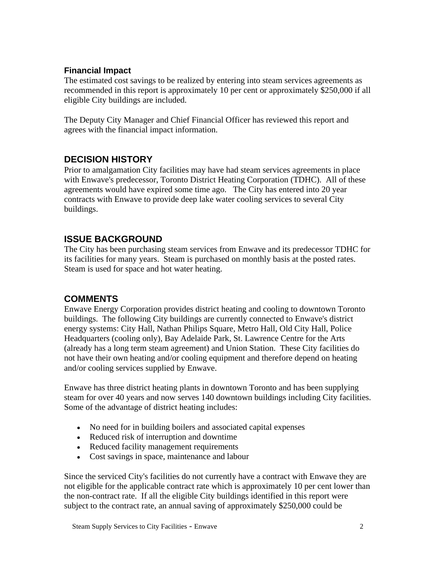#### **Financial Impact**

The estimated cost savings to be realized by entering into steam services agreements as recommended in this report is approximately 10 per cent or approximately \$250,000 if all eligible City buildings are included.

The Deputy City Manager and Chief Financial Officer has reviewed this report and agrees with the financial impact information.

### **DECISION HISTORY**

Prior to amalgamation City facilities may have had steam services agreements in place with Enwave's predecessor, Toronto District Heating Corporation (TDHC). All of these agreements would have expired some time ago. The City has entered into 20 year contracts with Enwave to provide deep lake water cooling services to several City buildings.

### **ISSUE BACKGROUND**

The City has been purchasing steam services from Enwave and its predecessor TDHC for its facilities for many years. Steam is purchased on monthly basis at the posted rates. Steam is used for space and hot water heating.

### **COMMENTS**

Enwave Energy Corporation provides district heating and cooling to downtown Toronto buildings. The following City buildings are currently connected to Enwave's district energy systems: City Hall, Nathan Philips Square, Metro Hall, Old City Hall, Police Headquarters (cooling only), Bay Adelaide Park, St. Lawrence Centre for the Arts (already has a long term steam agreement) and Union Station. These City facilities do not have their own heating and/or cooling equipment and therefore depend on heating and/or cooling services supplied by Enwave.

Enwave has three district heating plants in downtown Toronto and has been supplying steam for over 40 years and now serves 140 downtown buildings including City facilities. Some of the advantage of district heating includes:

- No need for in building boilers and associated capital expenses
- Reduced risk of interruption and downtime
- Reduced facility management requirements
- Cost savings in space, maintenance and labour

Since the serviced City's facilities do not currently have a contract with Enwave they are not eligible for the applicable contract rate which is approximately 10 per cent lower than the non-contract rate. If all the eligible City buildings identified in this report were subject to the contract rate, an annual saving of approximately \$250,000 could be